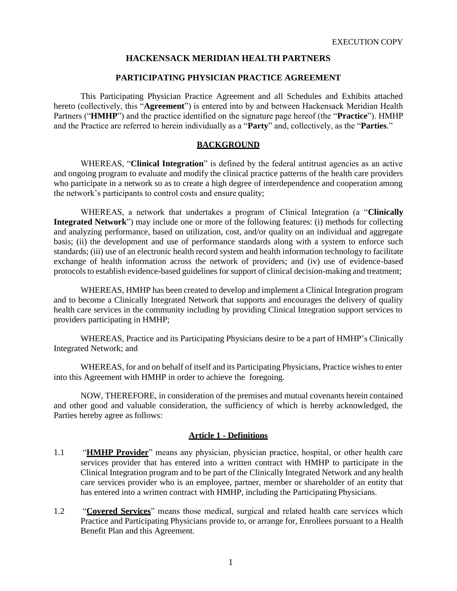## **HACKENSACK MERIDIAN HEALTH PARTNERS**

## **PARTICIPATING PHYSICIAN PRACTICE AGREEMENT**

This Participating Physician Practice Agreement and all Schedules and Exhibits attached hereto (collectively, this "**Agreement**") is entered into by and between Hackensack Meridian Health Partners ("**HMHP**") and the practice identified on the signature page hereof (the "**Practice**"). HMHP and the Practice are referred to herein individually as a "**Party**" and, collectively, as the "**Parties**."

### **BACKGROUND**

WHEREAS, "**Clinical Integration**" is defined by the federal antitrust agencies as an active and ongoing program to evaluate and modify the clinical practice patterns of the health care providers who participate in a network so as to create a high degree of interdependence and cooperation among the network's participants to control costs and ensure quality;

WHEREAS, a network that undertakes a program of Clinical Integration (a "**Clinically Integrated Network**") may include one or more of the following features: (i) methods for collecting and analyzing performance, based on utilization, cost, and/or quality on an individual and aggregate basis; (ii) the development and use of performance standards along with a system to enforce such standards; (iii) use of an electronic health record system and health information technology to facilitate exchange of health information across the network of providers; and (iv) use of evidence-based protocols to establish evidence-based guidelines for support of clinical decision-making and treatment;

WHEREAS, HMHP has been created to develop and implement a Clinical Integration program and to become a Clinically Integrated Network that supports and encourages the delivery of quality health care services in the community including by providing Clinical Integration support services to providers participating in HMHP;

WHEREAS, Practice and its Participating Physicians desire to be a part of HMHP's Clinically Integrated Network; and

WHEREAS, for and on behalf of itself and its Participating Physicians, Practice wishes to enter into this Agreement with HMHP in order to achieve the foregoing.

NOW, THEREFORE, in consideration of the premises and mutual covenants herein contained and other good and valuable consideration, the sufficiency of which is hereby acknowledged, the Parties hereby agree as follows:

### **Article 1 - Definitions**

- 1.1 "**HMHP Provider**" means any physician, physician practice, hospital, or other health care services provider that has entered into a written contract with HMHP to participate in the Clinical Integration program and to be part of the Clinically Integrated Network and any health care services provider who is an employee, partner, member or shareholder of an entity that has entered into a written contract with HMHP, including the Participating Physicians.
- 1.2 "**Covered Services**" means those medical, surgical and related health care services which Practice and Participating Physicians provide to, or arrange for, Enrollees pursuant to a Health Benefit Plan and this Agreement.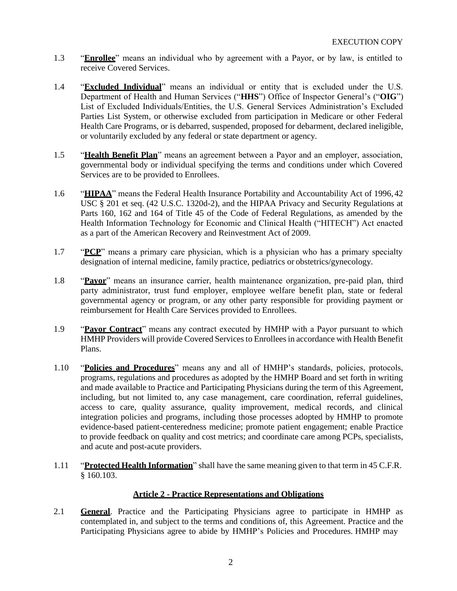- 1.3 "**Enrollee**" means an individual who by agreement with a Payor, or by law, is entitled to receive Covered Services.
- 1.4 "**Excluded Individual**" means an individual or entity that is excluded under the U.S. Department of Health and Human Services ("**HHS**") Office of Inspector General's ("**OIG**") List of Excluded Individuals/Entities, the U.S. General Services Administration's Excluded Parties List System, or otherwise excluded from participation in Medicare or other Federal Health Care Programs, or is debarred, suspended, proposed for debarment, declared ineligible, or voluntarily excluded by any federal or state department or agency.
- 1.5 "**Health Benefit Plan**" means an agreement between a Payor and an employer, association, governmental body or individual specifying the terms and conditions under which Covered Services are to be provided to Enrollees.
- 1.6 **"HIPAA**" means the Federal Health Insurance Portability and Accountability Act of 1996, 42 USC § 201 et seq. (42 U.S.C. 1320d-2), and the HIPAA Privacy and Security Regulations at Parts 160, 162 and 164 of Title 45 of the Code of Federal Regulations, as amended by the Health Information Technology for Economic and Clinical Health ("HITECH") Act enacted as a part of the American Recovery and Reinvestment Act of 2009.
- 1.7 "**PCP**" means a primary care physician, which is a physician who has a primary specialty designation of internal medicine, family practice, pediatrics or obstetrics/gynecology.
- 1.8 "**Payor**" means an insurance carrier, health maintenance organization, pre-paid plan, third party administrator, trust fund employer, employee welfare benefit plan, state or federal governmental agency or program, or any other party responsible for providing payment or reimbursement for Health Care Services provided to Enrollees.
- 1.9 "**Payor Contract**" means any contract executed by HMHP with a Payor pursuant to which HMHP Providers will provide Covered Services to Enrollees in accordance with Health Benefit Plans.
- 1.10 "**Policies and Procedures**" means any and all of HMHP's standards, policies, protocols, programs, regulations and procedures as adopted by the HMHP Board and set forth in writing and made available to Practice and Participating Physicians during the term of this Agreement, including, but not limited to, any case management, care coordination, referral guidelines, access to care, quality assurance, quality improvement, medical records, and clinical integration policies and programs, including those processes adopted by HMHP to promote evidence-based patient-centeredness medicine; promote patient engagement; enable Practice to provide feedback on quality and cost metrics; and coordinate care among PCPs, specialists, and acute and post-acute providers.
- 1.11 "**Protected Health Information**" shall have the same meaning given to that term in 45 C.F.R. § 160.103.

# **Article 2 - Practice Representations and Obligations**

2.1 **General**. Practice and the Participating Physicians agree to participate in HMHP as contemplated in, and subject to the terms and conditions of, this Agreement. Practice and the Participating Physicians agree to abide by HMHP's Policies and Procedures. HMHP may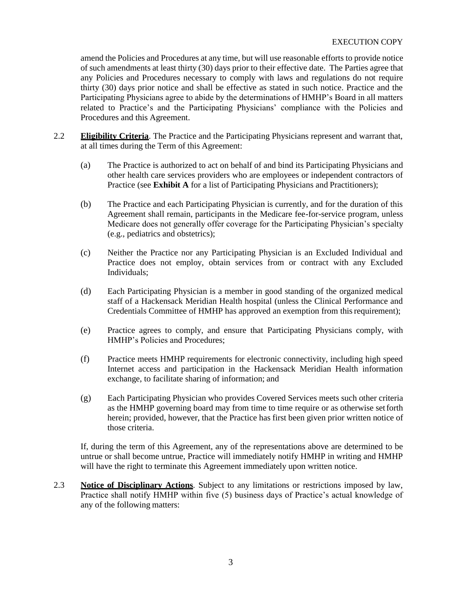amend the Policies and Procedures at any time, but will use reasonable efforts to provide notice of such amendments at least thirty (30) days prior to their effective date. The Parties agree that any Policies and Procedures necessary to comply with laws and regulations do not require thirty (30) days prior notice and shall be effective as stated in such notice. Practice and the Participating Physicians agree to abide by the determinations of HMHP's Board in all matters related to Practice's and the Participating Physicians' compliance with the Policies and Procedures and this Agreement.

- 2.2 **Eligibility Criteria**. The Practice and the Participating Physicians represent and warrant that, at all times during the Term of this Agreement:
	- (a) The Practice is authorized to act on behalf of and bind its Participating Physicians and other health care services providers who are employees or independent contractors of Practice (see **Exhibit A** for a list of Participating Physicians and Practitioners);
	- (b) The Practice and each Participating Physician is currently, and for the duration of this Agreement shall remain, participants in the Medicare fee-for-service program, unless Medicare does not generally offer coverage for the Participating Physician's specialty (e.g., pediatrics and obstetrics);
	- (c) Neither the Practice nor any Participating Physician is an Excluded Individual and Practice does not employ, obtain services from or contract with any Excluded Individuals;
	- (d) Each Participating Physician is a member in good standing of the organized medical staff of a Hackensack Meridian Health hospital (unless the Clinical Performance and Credentials Committee of HMHP has approved an exemption from thisrequirement);
	- (e) Practice agrees to comply, and ensure that Participating Physicians comply, with HMHP's Policies and Procedures;
	- (f) Practice meets HMHP requirements for electronic connectivity, including high speed Internet access and participation in the Hackensack Meridian Health information exchange, to facilitate sharing of information; and
	- (g) Each Participating Physician who provides Covered Services meets such other criteria as the HMHP governing board may from time to time require or as otherwise setforth herein; provided, however, that the Practice has first been given prior written notice of those criteria.

If, during the term of this Agreement, any of the representations above are determined to be untrue or shall become untrue, Practice will immediately notify HMHP in writing and HMHP will have the right to terminate this Agreement immediately upon written notice.

2.3 **Notice of Disciplinary Actions***.* Subject to any limitations or restrictions imposed by law, Practice shall notify HMHP within five (5) business days of Practice's actual knowledge of any of the following matters: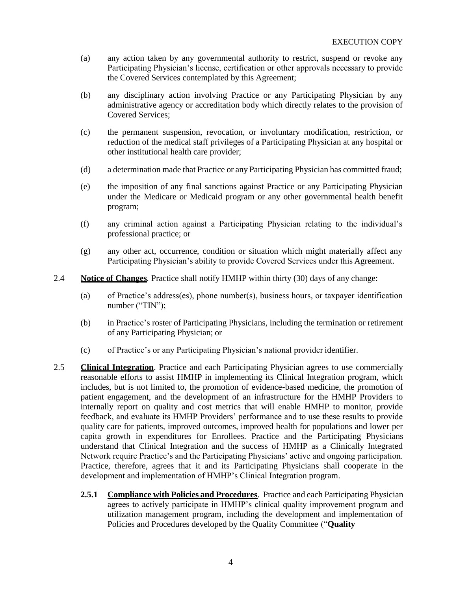- (a) any action taken by any governmental authority to restrict, suspend or revoke any Participating Physician's license, certification or other approvals necessary to provide the Covered Services contemplated by this Agreement;
- (b) any disciplinary action involving Practice or any Participating Physician by any administrative agency or accreditation body which directly relates to the provision of Covered Services;
- (c) the permanent suspension, revocation, or involuntary modification, restriction, or reduction of the medical staff privileges of a Participating Physician at any hospital or other institutional health care provider;
- (d) a determination made that Practice or any Participating Physician has committed fraud;
- (e) the imposition of any final sanctions against Practice or any Participating Physician under the Medicare or Medicaid program or any other governmental health benefit program;
- (f) any criminal action against a Participating Physician relating to the individual's professional practice; or
- (g) any other act, occurrence, condition or situation which might materially affect any Participating Physician's ability to provide Covered Services under this Agreement.
- 2.4 **Notice of Changes***.* Practice shall notify HMHP within thirty (30) days of any change:
	- (a) of Practice's address(es), phone number(s), business hours, or taxpayer identification number ("TIN");
	- (b) in Practice's roster of Participating Physicians, including the termination or retirement of any Participating Physician; or
	- (c) of Practice's or any Participating Physician's national provider identifier.
- 2.5 **Clinical Integration**. Practice and each Participating Physician agrees to use commercially reasonable efforts to assist HMHP in implementing its Clinical Integration program, which includes, but is not limited to, the promotion of evidence-based medicine, the promotion of patient engagement, and the development of an infrastructure for the HMHP Providers to internally report on quality and cost metrics that will enable HMHP to monitor, provide feedback, and evaluate its HMHP Providers' performance and to use these results to provide quality care for patients, improved outcomes, improved health for populations and lower per capita growth in expenditures for Enrollees. Practice and the Participating Physicians understand that Clinical Integration and the success of HMHP as a Clinically Integrated Network require Practice's and the Participating Physicians' active and ongoing participation. Practice, therefore, agrees that it and its Participating Physicians shall cooperate in the development and implementation of HMHP's Clinical Integration program.
	- **2.5.1 Compliance with Policies and Procedures**. Practice and each Participating Physician agrees to actively participate in HMHP's clinical quality improvement program and utilization management program, including the development and implementation of Policies and Procedures developed by the Quality Committee ("**Quality**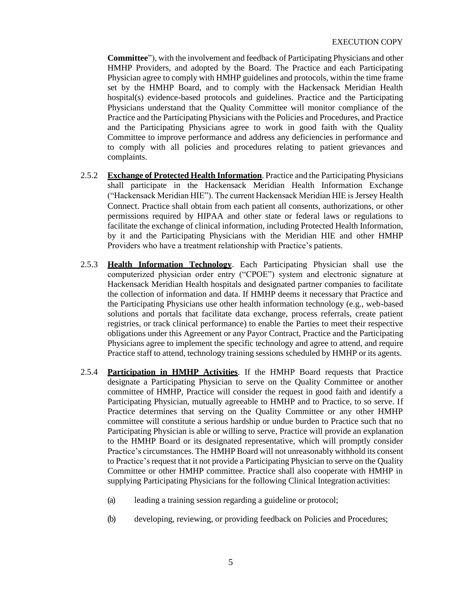**Committee**"), with the involvement and feedback of Participating Physicians and other HMHP Providers, and adopted by the Board. The Practice and each Participating Physician agree to comply with HMHP guidelines and protocols, within the time frame set by the HMHP Board, and to comply with the Hackensack Meridian Health hospital(s) evidence-based protocols and guidelines. Practice and the Participating Physicians understand that the Quality Committee will monitor compliance of the Practice and the Participating Physicians with the Policies and Procedures, and Practice and the Participating Physicians agree to work in good faith with the Quality Committee to improve performance and address any deficiencies in performance and to comply with all policies and procedures relating to patient grievances and complaints.

- 2.5.2 **Exchange of Protected Health Information**. Practice and the Participating Physicians shall participate in the Hackensack Meridian Health Information Exchange ("Hackensack Meridian HIE"). The current Hackensack Meridian HIE is Jersey Health Connect. Practice shall obtain from each patient all consents, authorizations, or other permissions required by HIPAA and other state or federal laws or regulations to facilitate the exchange of clinical information, including Protected Health Information, by it and the Participating Physicians with the Meridian HIE and other HMHP Providers who have a treatment relationship with Practice's patients.
- 2.5.3 **Health Information Technology**. Each Participating Physician shall use the computerized physician order entry ("CPOE") system and electronic signature at Hackensack Meridian Health hospitals and designated partner companies to facilitate the collection of information and data. If HMHP deems it necessary that Practice and the Participating Physicians use other health information technology (e.g., web-based solutions and portals that facilitate data exchange, process referrals, create patient registries, or track clinical performance) to enable the Parties to meet their respective obligations under this Agreement or any Payor Contract, Practice and the Participating Physicians agree to implement the specific technology and agree to attend, and require Practice staff to attend, technology training sessions scheduled by HMHP or its agents.
- 2.5.4 **Participation in HMHP Activities**. If the HMHP Board requests that Practice designate a Participating Physician to serve on the Quality Committee or another committee of HMHP, Practice will consider the request in good faith and identify a Participating Physician, mutually agreeable to HMHP and to Practice, to so serve. If Practice determines that serving on the Quality Committee or any other HMHP committee will constitute a serious hardship or undue burden to Practice such that no Participating Physician is able or willing to serve, Practice will provide an explanation to the HMHP Board or its designated representative, which will promptly consider Practice's circumstances. The HMHP Board will not unreasonably withhold its consent to Practice's request that it not provide a Participating Physician to serve on the Quality Committee or other HMHP committee. Practice shall also cooperate with HMHP in supplying Participating Physicians for the following Clinical Integration activities:
	- (a) leading a training session regarding a guideline or protocol;
	- (b) developing, reviewing, or providing feedback on Policies and Procedures;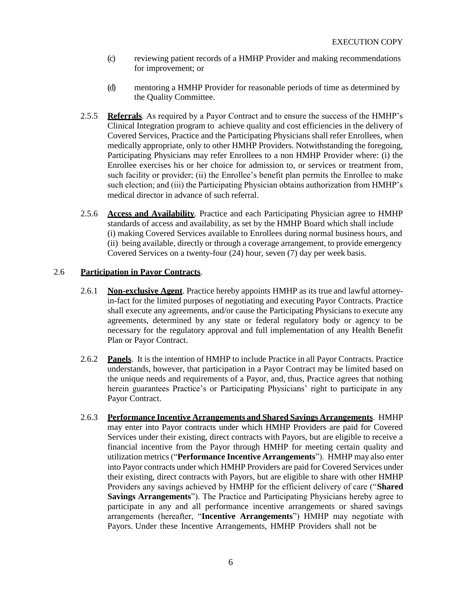- (c) reviewing patient records of a HMHP Provider and making recommendations for improvement; or
- (d) mentoring a HMHP Provider for reasonable periods of time as determined by the Quality Committee.
- 2.5.5 **Referrals***.* As required by a Payor Contract and to ensure the success of the HMHP's Clinical Integration program to achieve quality and cost efficiencies in the delivery of Covered Services, Practice and the Participating Physicians shall refer Enrollees, when medically appropriate, only to other HMHP Providers. Notwithstanding the foregoing, Participating Physicians may refer Enrollees to a non HMHP Provider where: (i) the Enrollee exercises his or her choice for admission to, or services or treatment from, such facility or provider; (ii) the Enrollee's benefit plan permits the Enrollee to make such election; and (iii) the Participating Physician obtains authorization from HMHP's medical director in advance of such referral.
- 2.5.6 **Access and Availability**. Practice and each Participating Physician agree to HMHP standards of access and availability, as set by the HMHP Board which shall include (i) making Covered Services available to Enrollees during normal business hours, and (ii) being available, directly or through a coverage arrangement, to provide emergency Covered Services on a twenty-four (24) hour, seven (7) day per week basis.

# 2.6 **Participation in Payor Contracts**.

- 2.6.1 **Non-exclusive Agent**. Practice hereby appoints HMHP as its true and lawful attorneyin-fact for the limited purposes of negotiating and executing Payor Contracts. Practice shall execute any agreements, and/or cause the Participating Physicians to execute any agreements, determined by any state or federal regulatory body or agency to be necessary for the regulatory approval and full implementation of any Health Benefit Plan or Payor Contract.
- 2.6.2 **Panels**. It is the intention of HMHP to include Practice in all Payor Contracts. Practice understands, however, that participation in a Payor Contract may be limited based on the unique needs and requirements of a Payor, and, thus, Practice agrees that nothing herein guarantees Practice's or Participating Physicians' right to participate in any Payor Contract.
- 2.6.3 **Performance Incentive Arrangements and Shared Savings Arrangements**. HMHP may enter into Payor contracts under which HMHP Providers are paid for Covered Services under their existing, direct contracts with Payors, but are eligible to receive a financial incentive from the Payor through HMHP for meeting certain quality and utilization metrics ("**Performance Incentive Arrangements**"). HMHP may also enter into Payor contracts under which HMHP Providers are paid for Covered Services under their existing, direct contracts with Payors, but are eligible to share with other HMHP Providers any savings achieved by HMHP for the efficient delivery of care ("**Shared Savings Arrangements**"). The Practice and Participating Physicians hereby agree to participate in any and all performance incentive arrangements or shared savings arrangements (hereafter, "**Incentive Arrangements**") HMHP may negotiate with Payors. Under these Incentive Arrangements, HMHP Providers shall not be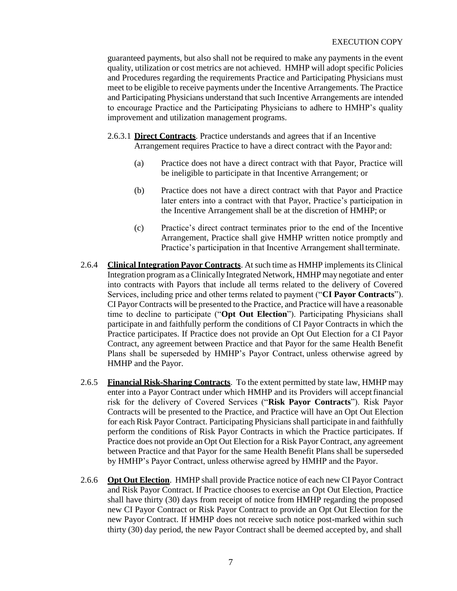guaranteed payments, but also shall not be required to make any payments in the event quality, utilization or cost metrics are not achieved. HMHP will adopt specific Policies and Procedures regarding the requirements Practice and Participating Physicians must meet to be eligible to receive payments under the Incentive Arrangements. The Practice and Participating Physicians understand that such Incentive Arrangements are intended to encourage Practice and the Participating Physicians to adhere to HMHP's quality improvement and utilization management programs.

- 2.6.3.1 **Direct Contracts**. Practice understands and agrees that if an Incentive Arrangement requires Practice to have a direct contract with the Payor and:
	- (a) Practice does not have a direct contract with that Payor, Practice will be ineligible to participate in that Incentive Arrangement; or
	- (b) Practice does not have a direct contract with that Payor and Practice later enters into a contract with that Payor, Practice's participation in the Incentive Arrangement shall be at the discretion of HMHP; or
	- (c) Practice's direct contract terminates prior to the end of the Incentive Arrangement, Practice shall give HMHP written notice promptly and Practice's participation in that Incentive Arrangement shall terminate.
- 2.6.4 **Clinical Integration Payor Contracts**. At such time as HMHP implements its Clinical Integration program as a Clinically Integrated Network, HMHP may negotiate and enter into contracts with Payors that include all terms related to the delivery of Covered Services, including price and other terms related to payment ("**CI Payor Contracts**"). CI Payor Contracts will be presented to the Practice, and Practice will have a reasonable time to decline to participate ("**Opt Out Election**"). Participating Physicians shall participate in and faithfully perform the conditions of CI Payor Contracts in which the Practice participates. If Practice does not provide an Opt Out Election for a CI Payor Contract, any agreement between Practice and that Payor for the same Health Benefit Plans shall be superseded by HMHP's Payor Contract, unless otherwise agreed by HMHP and the Payor.
- 2.6.5 **Financial Risk-Sharing Contracts**. To the extent permitted by state law, HMHP may enter into a Payor Contract under which HMHP and its Providers will acceptfinancial risk for the delivery of Covered Services ("**Risk Payor Contracts**"). Risk Payor Contracts will be presented to the Practice, and Practice will have an Opt Out Election for each Risk Payor Contract. Participating Physicians shall participate in and faithfully perform the conditions of Risk Payor Contracts in which the Practice participates. If Practice does not provide an Opt Out Election for a Risk Payor Contract, any agreement between Practice and that Payor for the same Health Benefit Plans shall be superseded by HMHP's Payor Contract, unless otherwise agreed by HMHP and the Payor.
- 2.6.6 **Opt Out Election**. HMHP shall provide Practice notice of each new CI Payor Contract and Risk Payor Contract. If Practice chooses to exercise an Opt Out Election, Practice shall have thirty (30) days from receipt of notice from HMHP regarding the proposed new CI Payor Contract or Risk Payor Contract to provide an Opt Out Election for the new Payor Contract. If HMHP does not receive such notice post-marked within such thirty (30) day period, the new Payor Contract shall be deemed accepted by, and shall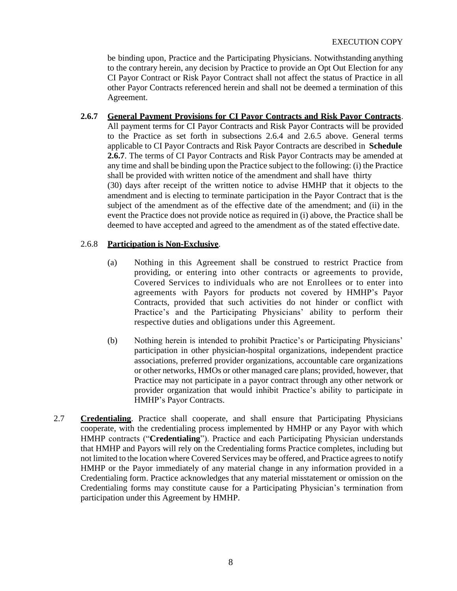be binding upon, Practice and the Participating Physicians. Notwithstanding anything to the contrary herein, any decision by Practice to provide an Opt Out Election for any CI Payor Contract or Risk Payor Contract shall not affect the status of Practice in all other Payor Contracts referenced herein and shall not be deemed a termination of this Agreement.

# **2.6.7 General Payment Provisions for CI Payor Contracts and Risk Payor Contracts**.

All payment terms for CI Payor Contracts and Risk Payor Contracts will be provided to the Practice as set forth in subsections 2.6.4 and 2.6.5 above. General terms applicable to CI Payor Contracts and Risk Payor Contracts are described in **Schedule 2.6.7**. The terms of CI Payor Contracts and Risk Payor Contracts may be amended at any time and shall be binding upon the Practice subject to the following: (i) the Practice shall be provided with written notice of the amendment and shall have thirty (30) days after receipt of the written notice to advise HMHP that it objects to the amendment and is electing to terminate participation in the Payor Contract that is the subject of the amendment as of the effective date of the amendment; and (ii) in the event the Practice does not provide notice as required in (i) above, the Practice shall be deemed to have accepted and agreed to the amendment as of the stated effective date.

## 2.6.8 **Participation is Non-Exclusive**.

- (a) Nothing in this Agreement shall be construed to restrict Practice from providing, or entering into other contracts or agreements to provide, Covered Services to individuals who are not Enrollees or to enter into agreements with Payors for products not covered by HMHP's Payor Contracts, provided that such activities do not hinder or conflict with Practice's and the Participating Physicians' ability to perform their respective duties and obligations under this Agreement.
- (b) Nothing herein is intended to prohibit Practice's or Participating Physicians' participation in other physician-hospital organizations, independent practice associations, preferred provider organizations, accountable care organizations or other networks, HMOs or other managed care plans; provided, however, that Practice may not participate in a payor contract through any other network or provider organization that would inhibit Practice's ability to participate in HMHP's Payor Contracts.
- 2.7 **Credentialing**. Practice shall cooperate, and shall ensure that Participating Physicians cooperate, with the credentialing process implemented by HMHP or any Payor with which HMHP contracts ("**Credentialing**"). Practice and each Participating Physician understands that HMHP and Payors will rely on the Credentialing forms Practice completes, including but not limited to the location where Covered Services may be offered, and Practice agrees to notify HMHP or the Payor immediately of any material change in any information provided in a Credentialing form. Practice acknowledges that any material misstatement or omission on the Credentialing forms may constitute cause for a Participating Physician's termination from participation under this Agreement by HMHP.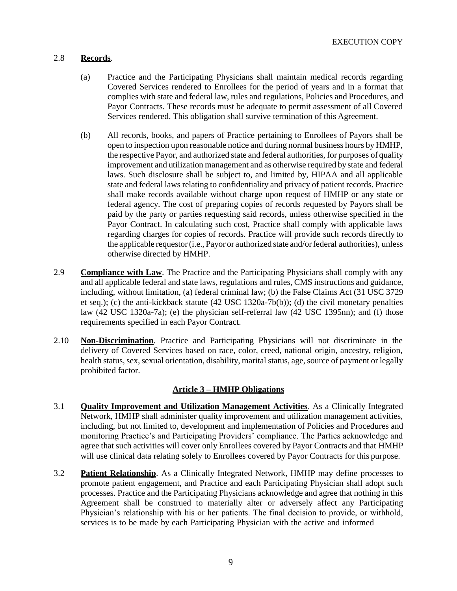# 2.8 **Records**.

- (a) Practice and the Participating Physicians shall maintain medical records regarding Covered Services rendered to Enrollees for the period of years and in a format that complies with state and federal law, rules and regulations, Policies and Procedures, and Payor Contracts. These records must be adequate to permit assessment of all Covered Services rendered. This obligation shall survive termination of this Agreement.
- (b) All records, books, and papers of Practice pertaining to Enrollees of Payors shall be open to inspection upon reasonable notice and during normal business hours by HMHP, the respective Payor, and authorized state and federal authorities, for purposes of quality improvement and utilization management and as otherwise required by state and federal laws. Such disclosure shall be subject to, and limited by, HIPAA and all applicable state and federal laws relating to confidentiality and privacy of patient records. Practice shall make records available without charge upon request of HMHP or any state or federal agency. The cost of preparing copies of records requested by Payors shall be paid by the party or parties requesting said records, unless otherwise specified in the Payor Contract. In calculating such cost, Practice shall comply with applicable laws regarding charges for copies of records. Practice will provide such records directly to the applicable requestor(i.e., Payor or authorized state and/orfederal authorities), unless otherwise directed by HMHP.
- 2.9 **Compliance with Law**. The Practice and the Participating Physicians shall comply with any and all applicable federal and state laws, regulations and rules, CMS instructions and guidance, including, without limitation, (a) federal criminal law; (b) the False Claims Act (31 USC 3729 et seq.); (c) the anti-kickback statute (42 USC 1320a-7b(b)); (d) the civil monetary penalties law (42 USC 1320a-7a); (e) the physician self-referral law (42 USC 1395nn); and (f) those requirements specified in each Payor Contract.
- 2.10 **Non-Discrimination**. Practice and Participating Physicians will not discriminate in the delivery of Covered Services based on race, color, creed, national origin, ancestry, religion, health status, sex, sexual orientation, disability, marital status, age, source of payment or legally prohibited factor.

# **Article 3 – HMHP Obligations**

- 3.1 **Quality Improvement and Utilization Management Activities**. As a Clinically Integrated Network, HMHP shall administer quality improvement and utilization management activities, including, but not limited to, development and implementation of Policies and Procedures and monitoring Practice's and Participating Providers' compliance. The Parties acknowledge and agree that such activities will cover only Enrollees covered by Payor Contracts and that HMHP will use clinical data relating solely to Enrollees covered by Payor Contracts for this purpose.
- 3.2 **Patient Relationship**. As a Clinically Integrated Network, HMHP may define processes to promote patient engagement, and Practice and each Participating Physician shall adopt such processes. Practice and the Participating Physicians acknowledge and agree that nothing in this Agreement shall be construed to materially alter or adversely affect any Participating Physician's relationship with his or her patients. The final decision to provide, or withhold, services is to be made by each Participating Physician with the active and informed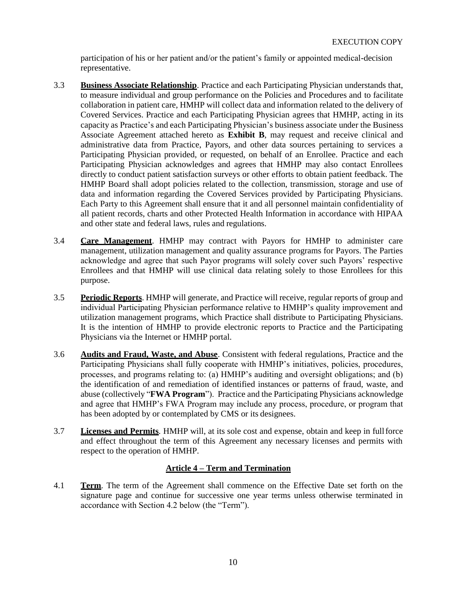participation of his or her patient and/or the patient's family or appointed medical-decision representative.

- 3.3 **Business Associate Relationship**. Practice and each Participating Physician understands that, to measure individual and group performance on the Policies and Procedures and to facilitate collaboration in patient care, HMHP will collect data and information related to the delivery of Covered Services. Practice and each Participating Physician agrees that HMHP, acting in its capacity as Practice's and each Participating Physician's business associate under the Business Associate Agreement attached hereto as **Exhibit B**, may request and receive clinical and administrative data from Practice, Payors, and other data sources pertaining to services a Participating Physician provided, or requested, on behalf of an Enrollee. Practice and each Participating Physician acknowledges and agrees that HMHP may also contact Enrollees directly to conduct patient satisfaction surveys or other efforts to obtain patient feedback. The HMHP Board shall adopt policies related to the collection, transmission, storage and use of data and information regarding the Covered Services provided by Participating Physicians. Each Party to this Agreement shall ensure that it and all personnel maintain confidentiality of all patient records, charts and other Protected Health Information in accordance with HIPAA and other state and federal laws, rules and regulations.
- 3.4 **Care Management**. HMHP may contract with Payors for HMHP to administer care management, utilization management and quality assurance programs for Payors. The Parties acknowledge and agree that such Payor programs will solely cover such Payors' respective Enrollees and that HMHP will use clinical data relating solely to those Enrollees for this purpose.
- 3.5 **Periodic Reports**. HMHP will generate, and Practice will receive, regular reports of group and individual Participating Physician performance relative to HMHP's quality improvement and utilization management programs, which Practice shall distribute to Participating Physicians. It is the intention of HMHP to provide electronic reports to Practice and the Participating Physicians via the Internet or HMHP portal.
- 3.6 **Audits and Fraud, Waste, and Abuse**. Consistent with federal regulations, Practice and the Participating Physicians shall fully cooperate with HMHP's initiatives, policies, procedures, processes, and programs relating to: (a) HMHP's auditing and oversight obligations; and (b) the identification of and remediation of identified instances or patterns of fraud, waste, and abuse (collectively "**FWA Program**"). Practice and the Participating Physicians acknowledge and agree that HMHP's FWA Program may include any process, procedure, or program that has been adopted by or contemplated by CMS or its designees.
- 3.7 **Licenses and Permits***.* HMHP will, at its sole cost and expense, obtain and keep in fullforce and effect throughout the term of this Agreement any necessary licenses and permits with respect to the operation of HMHP.

# **Article 4 – Term and Termination**

4.1 **Term**. The term of the Agreement shall commence on the Effective Date set forth on the signature page and continue for successive one year terms unless otherwise terminated in accordance with Section 4.2 below (the "Term").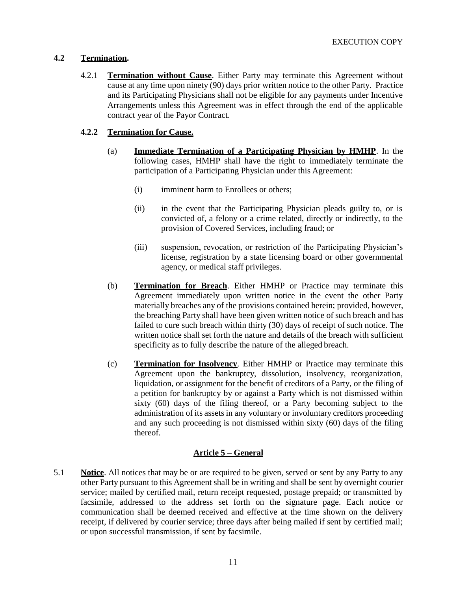# **4.2 Termination.**

4.2.1 **Termination without Cause**. Either Party may terminate this Agreement without cause at any time upon ninety (90) days prior written notice to the other Party. Practice and its Participating Physicians shall not be eligible for any payments under Incentive Arrangements unless this Agreement was in effect through the end of the applicable contract year of the Payor Contract.

# **4.2.2 Termination for Cause.**

- (a) **Immediate Termination of a Participating Physician by HMHP**. In the following cases, HMHP shall have the right to immediately terminate the participation of a Participating Physician under this Agreement:
	- (i) imminent harm to Enrollees or others;
	- (ii) in the event that the Participating Physician pleads guilty to, or is convicted of, a felony or a crime related, directly or indirectly, to the provision of Covered Services, including fraud; or
	- (iii) suspension, revocation, or restriction of the Participating Physician's license, registration by a state licensing board or other governmental agency, or medical staff privileges.
- (b) **Termination for Breach**. Either HMHP or Practice may terminate this Agreement immediately upon written notice in the event the other Party materially breaches any of the provisions contained herein; provided, however, the breaching Party shall have been given written notice of such breach and has failed to cure such breach within thirty (30) days of receipt of such notice. The written notice shall set forth the nature and details of the breach with sufficient specificity as to fully describe the nature of the alleged breach.
- (c) **Termination for Insolvency***.* Either HMHP or Practice may terminate this Agreement upon the bankruptcy, dissolution, insolvency, reorganization, liquidation, or assignment for the benefit of creditors of a Party, or the filing of a petition for bankruptcy by or against a Party which is not dismissed within sixty (60) days of the filing thereof, or a Party becoming subject to the administration of its assetsin any voluntary or involuntary creditors proceeding and any such proceeding is not dismissed within sixty (60) days of the filing thereof.

# **Article 5 – General**

5.1 **Notice**. All notices that may be or are required to be given, served or sent by any Party to any other Party pursuant to this Agreement shall be in writing and shall be sent by overnight courier service; mailed by certified mail, return receipt requested, postage prepaid; or transmitted by facsimile, addressed to the address set forth on the signature page. Each notice or communication shall be deemed received and effective at the time shown on the delivery receipt, if delivered by courier service; three days after being mailed if sent by certified mail; or upon successful transmission, if sent by facsimile.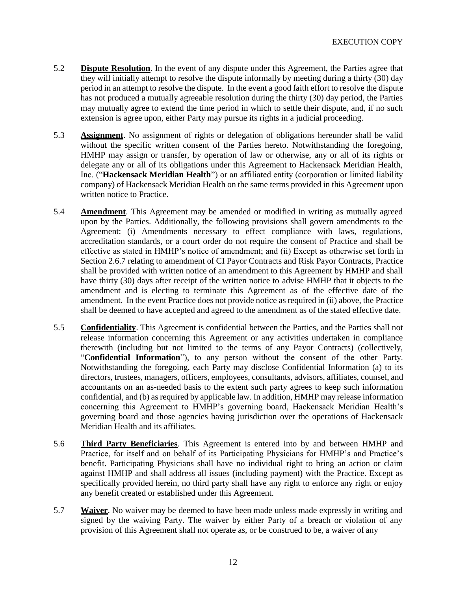- 5.2 **Dispute Resolution**. In the event of any dispute under this Agreement, the Parties agree that they will initially attempt to resolve the dispute informally by meeting during a thirty (30) day period in an attempt to resolve the dispute. In the event a good faith effort to resolve the dispute has not produced a mutually agreeable resolution during the thirty (30) day period, the Parties may mutually agree to extend the time period in which to settle their dispute, and, if no such extension is agree upon, either Party may pursue its rights in a judicial proceeding.
- 5.3 **Assignment**. No assignment of rights or delegation of obligations hereunder shall be valid without the specific written consent of the Parties hereto. Notwithstanding the foregoing, HMHP may assign or transfer, by operation of law or otherwise, any or all of its rights or delegate any or all of its obligations under this Agreement to Hackensack Meridian Health, Inc. ("**Hackensack Meridian Health**") or an affiliated entity (corporation or limited liability company) of Hackensack Meridian Health on the same terms provided in this Agreement upon written notice to Practice.
- 5.4 **Amendment**. This Agreement may be amended or modified in writing as mutually agreed upon by the Parties. Additionally, the following provisions shall govern amendments to the Agreement: (i) Amendments necessary to effect compliance with laws, regulations, accreditation standards, or a court order do not require the consent of Practice and shall be effective as stated in HMHP's notice of amendment; and (ii) Except as otherwise set forth in Section 2.6.7 relating to amendment of CI Payor Contracts and Risk Payor Contracts, Practice shall be provided with written notice of an amendment to this Agreement by HMHP and shall have thirty (30) days after receipt of the written notice to advise HMHP that it objects to the amendment and is electing to terminate this Agreement as of the effective date of the amendment. In the event Practice does not provide notice as required in (ii) above, the Practice shall be deemed to have accepted and agreed to the amendment as of the stated effective date.
- 5.5 **Confidentiality**. This Agreement is confidential between the Parties, and the Parties shall not release information concerning this Agreement or any activities undertaken in compliance therewith (including but not limited to the terms of any Payor Contracts) (collectively, "**Confidential Information**"), to any person without the consent of the other Party. Notwithstanding the foregoing, each Party may disclose Confidential Information (a) to its directors, trustees, managers, officers, employees, consultants, advisors, affiliates, counsel, and accountants on an as-needed basis to the extent such party agrees to keep such information confidential, and (b) as required by applicable law. In addition, HMHP may release information concerning this Agreement to HMHP's governing board, Hackensack Meridian Health's governing board and those agencies having jurisdiction over the operations of Hackensack Meridian Health and its affiliates.
- 5.6 **Third Party Beneficiaries**. This Agreement is entered into by and between HMHP and Practice, for itself and on behalf of its Participating Physicians for HMHP's and Practice's benefit. Participating Physicians shall have no individual right to bring an action or claim against HMHP and shall address all issues (including payment) with the Practice. Except as specifically provided herein, no third party shall have any right to enforce any right or enjoy any benefit created or established under this Agreement.
- 5.7 **Waiver**. No waiver may be deemed to have been made unless made expressly in writing and signed by the waiving Party. The waiver by either Party of a breach or violation of any provision of this Agreement shall not operate as, or be construed to be, a waiver of any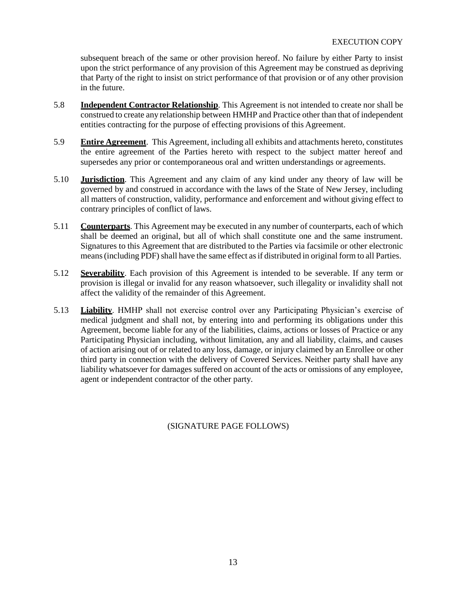subsequent breach of the same or other provision hereof. No failure by either Party to insist upon the strict performance of any provision of this Agreement may be construed as depriving that Party of the right to insist on strict performance of that provision or of any other provision in the future.

- 5.8 **Independent Contractor Relationship**. This Agreement is not intended to create nor shall be construed to create any relationship between HMHP and Practice other than that of independent entities contracting for the purpose of effecting provisions of this Agreement.
- 5.9 **Entire Agreement**. This Agreement, including all exhibits and attachments hereto, constitutes the entire agreement of the Parties hereto with respect to the subject matter hereof and supersedes any prior or contemporaneous oral and written understandings or agreements.
- 5.10 **Jurisdiction**. This Agreement and any claim of any kind under any theory of law will be governed by and construed in accordance with the laws of the State of New Jersey, including all matters of construction, validity, performance and enforcement and without giving effect to contrary principles of conflict of laws.
- 5.11 **Counterparts**. This Agreement may be executed in any number of counterparts, each of which shall be deemed an original, but all of which shall constitute one and the same instrument. Signatures to this Agreement that are distributed to the Parties via facsimile or other electronic means (including PDF) shall have the same effect as if distributed in original form to all Parties.
- 5.12 **Severability**. Each provision of this Agreement is intended to be severable. If any term or provision is illegal or invalid for any reason whatsoever, such illegality or invalidity shall not affect the validity of the remainder of this Agreement.
- 5.13 **Liability**. HMHP shall not exercise control over any Participating Physician's exercise of medical judgment and shall not, by entering into and performing its obligations under this Agreement, become liable for any of the liabilities, claims, actions or losses of Practice or any Participating Physician including, without limitation, any and all liability, claims, and causes of action arising out of or related to any loss, damage, or injury claimed by an Enrollee or other third party in connection with the delivery of Covered Services. Neither party shall have any liability whatsoever for damages suffered on account of the acts or omissions of any employee, agent or independent contractor of the other party.

# (SIGNATURE PAGE FOLLOWS)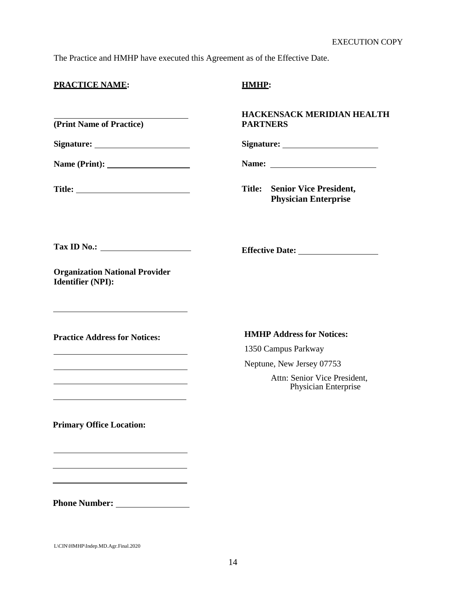The Practice and HMHP have executed this Agreement as of the Effective Date.

|  |  | <b>PRACTICE NAME:</b> |
|--|--|-----------------------|

#### **(Print Name of Practice)**

**Signature:**

**Name (Print):**

Title: <u>\_\_\_\_\_\_\_\_\_\_\_\_\_\_\_</u>

# **PRACTICE NAME: HMHP:**

## **HACKENSACK MERIDIAN HEALTH PARTNERS**

**Signature:**

**Name:** 

**Effective Date:**

**Title: Senior Vice President, Physician Enterprise**

**Tax ID No.:**

**Organization National Provider Identifier (NPI):**

**Practice Address for Notices:**

<u> 1989 - Johann Barn, mars ann an t-Amhain an t-Amhain an t-Amhain an t-Amhain an t-Amhain an t-Amhain an t-A</u>

<u> 1989 - Johann Barn, mars ann an t-Amhain Aonaich an t-Aonaich an t-Aonaich ann an t-Aonaich ann an t-Aonaich</u>

<u> 1989 - Johann Barn, mars ann an t-Amhain Aonaich an t-Aonaich an t-Aonaich ann an t-Aonaich ann an t-Aonaich</u>

### **HMHP Address for Notices:**

1350 Campus Parkway

Neptune, New Jersey 07753

Attn: Senior Vice President, Physician Enterprise

**Primary Office Location:**

**Phone Number:**

L\CIN\HMHP\Indep.MD.Agr.Final.2020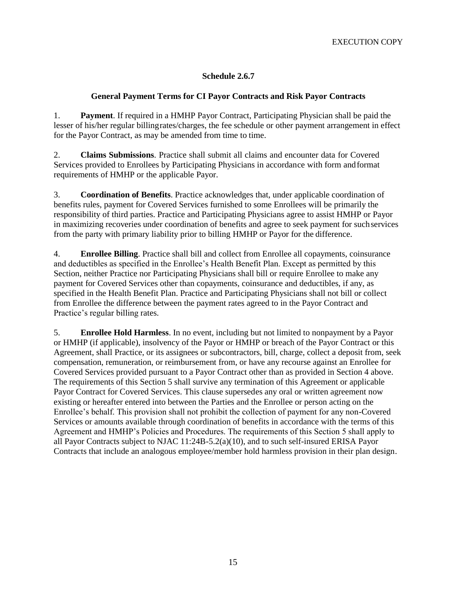# **Schedule 2.6.7**

# **General Payment Terms for CI Payor Contracts and Risk Payor Contracts**

1. **Payment**. If required in a HMHP Payor Contract, Participating Physician shall be paid the lesser of his/her regular billingrates/charges, the fee schedule or other payment arrangement in effect for the Payor Contract, as may be amended from time to time.

2. **Claims Submissions**. Practice shall submit all claims and encounter data for Covered Services provided to Enrollees by Participating Physicians in accordance with form andformat requirements of HMHP or the applicable Payor.

3. **Coordination of Benefits**. Practice acknowledges that, under applicable coordination of benefits rules, payment for Covered Services furnished to some Enrollees will be primarily the responsibility of third parties. Practice and Participating Physicians agree to assist HMHP or Payor in maximizing recoveries under coordination of benefits and agree to seek payment for suchservices from the party with primary liability prior to billing HMHP or Payor for the difference.

4. **Enrollee Billing**. Practice shall bill and collect from Enrollee all copayments, coinsurance and deductibles as specified in the Enrollee's Health Benefit Plan. Except as permitted by this Section, neither Practice nor Participating Physicians shall bill or require Enrollee to make any payment for Covered Services other than copayments, coinsurance and deductibles, if any, as specified in the Health Benefit Plan. Practice and Participating Physicians shall not bill or collect from Enrollee the difference between the payment rates agreed to in the Payor Contract and Practice's regular billing rates.

5. **Enrollee Hold Harmless**. In no event, including but not limited to nonpayment by a Payor or HMHP (if applicable), insolvency of the Payor or HMHP or breach of the Payor Contract or this Agreement, shall Practice, or its assignees or subcontractors, bill, charge, collect a deposit from, seek compensation, remuneration, or reimbursement from, or have any recourse against an Enrollee for Covered Services provided pursuant to a Payor Contract other than as provided in Section 4 above. The requirements of this Section 5 shall survive any termination of this Agreement or applicable Payor Contract for Covered Services. This clause supersedes any oral or written agreement now existing or hereafter entered into between the Parties and the Enrollee or person acting on the Enrollee's behalf. This provision shall not prohibit the collection of payment for any non-Covered Services or amounts available through coordination of benefits in accordance with the terms of this Agreement and HMHP's Policies and Procedures. The requirements of this Section 5 shall apply to all Payor Contracts subject to NJAC 11:24B-5.2(a)(10), and to such self-insured ERISA Payor Contracts that include an analogous employee/member hold harmless provision in their plan design.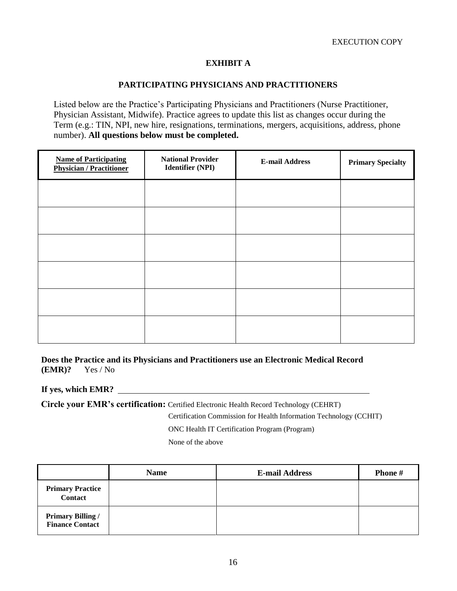# **EXHIBIT A**

## **PARTICIPATING PHYSICIANS AND PRACTITIONERS**

Listed below are the Practice's Participating Physicians and Practitioners (Nurse Practitioner, Physician Assistant, Midwife). Practice agrees to update this list as changes occur during the Term (e.g.: TIN, NPI, new hire, resignations, terminations, mergers, acquisitions, address, phone number). **All questions below must be completed.**

| <b>Name of Participating</b><br><b>Physician / Practitioner</b> | <b>National Provider</b><br><b>Identifier (NPI)</b> | <b>E-mail Address</b> | <b>Primary Specialty</b> |
|-----------------------------------------------------------------|-----------------------------------------------------|-----------------------|--------------------------|
|                                                                 |                                                     |                       |                          |
|                                                                 |                                                     |                       |                          |
|                                                                 |                                                     |                       |                          |
|                                                                 |                                                     |                       |                          |
|                                                                 |                                                     |                       |                          |
|                                                                 |                                                     |                       |                          |

**Does the Practice and its Physicians and Practitioners use an Electronic Medical Record (EMR)?** Yes / No

### **If yes, which EMR?**

**Circle your EMR's certification:** Certified Electronic Health Record Technology (CEHRT)

Certification Commission for Health Information Technology (CCHIT)

ONC Health IT Certification Program (Program)

None of the above

|                                                    | <b>Name</b> | <b>E-mail Address</b> | Phone # |
|----------------------------------------------------|-------------|-----------------------|---------|
| <b>Primary Practice</b><br><b>Contact</b>          |             |                       |         |
| <b>Primary Billing /</b><br><b>Finance Contact</b> |             |                       |         |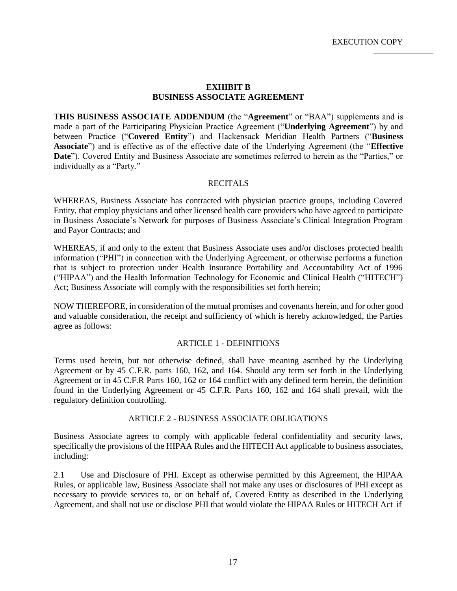### **EXHIBIT B BUSINESS ASSOCIATE AGREEMENT**

**THIS BUSINESS ASSOCIATE ADDENDUM** (the "**Agreement**" or "BAA") supplements and is made a part of the Participating Physician Practice Agreement ("**Underlying Agreement**") by and between Practice ("**Covered Entity**") and Hackensack Meridian Health Partners ("**Business Associate**") and is effective as of the effective date of the Underlying Agreement (the "**Effective Date**"). Covered Entity and Business Associate are sometimes referred to herein as the "Parties," or individually as a "Party."

#### RECITALS

WHEREAS, Business Associate has contracted with physician practice groups, including Covered Entity, that employ physicians and other licensed health care providers who have agreed to participate in Business Associate's Network for purposes of Business Associate's Clinical Integration Program and Payor Contracts; and

WHEREAS, if and only to the extent that Business Associate uses and/or discloses protected health information ("PHI") in connection with the Underlying Agreement, or otherwise performs a function that is subject to protection under Health Insurance Portability and Accountability Act of 1996 ("HIPAA") and the Health Information Technology for Economic and Clinical Health ("HITECH") Act; Business Associate will comply with the responsibilities set forth herein;

NOW THEREFORE, in consideration of the mutual promises and covenants herein, and for other good and valuable consideration, the receipt and sufficiency of which is hereby acknowledged, the Parties agree as follows:

### ARTICLE 1 - DEFINITIONS

Terms used herein, but not otherwise defined, shall have meaning ascribed by the Underlying Agreement or by 45 C.F.R. parts 160, 162, and 164. Should any term set forth in the Underlying Agreement or in 45 C.F.R Parts 160, 162 or 164 conflict with any defined term herein, the definition found in the Underlying Agreement or 45 C.F.R. Parts 160, 162 and 164 shall prevail, with the regulatory definition controlling.

### ARTICLE 2 - BUSINESS ASSOCIATE OBLIGATIONS

Business Associate agrees to comply with applicable federal confidentiality and security laws, specifically the provisions of the HIPAA Rules and the HITECH Act applicable to business associates, including:

2.1 Use and Disclosure of PHI. Except as otherwise permitted by this Agreement, the HIPAA Rules, or applicable law, Business Associate shall not make any uses or disclosures of PHI except as necessary to provide services to, or on behalf of, Covered Entity as described in the Underlying Agreement, and shall not use or disclose PHI that would violate the HIPAA Rules or HITECH Act if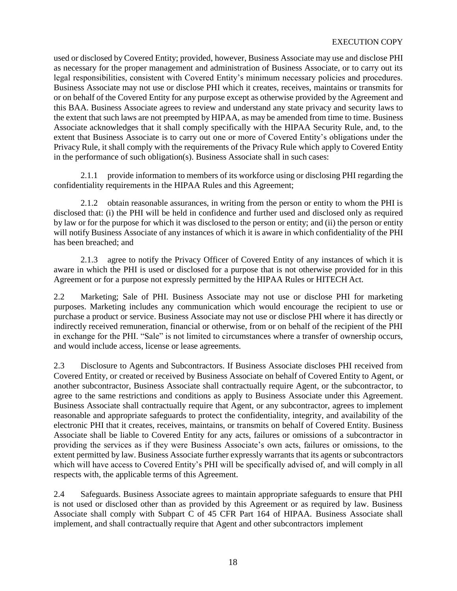## EXECUTION COPY

used or disclosed byCovered Entity; provided, however, Business Associate may use and disclose PHI as necessary for the proper management and administration of Business Associate, or to carry out its legal responsibilities, consistent with Covered Entity's minimum necessary policies and procedures. Business Associate may not use or disclose PHI which it creates, receives, maintains or transmits for or on behalf of the Covered Entity for any purpose except as otherwise provided by the Agreement and this BAA. Business Associate agrees to review and understand any state privacy and security laws to the extent that such laws are not preempted by HIPAA, as may be amended from time to time. Business Associate acknowledges that it shall comply specifically with the HIPAA Security Rule, and, to the extent that Business Associate is to carry out one or more of Covered Entity's obligations under the Privacy Rule, it shall comply with the requirements of the Privacy Rule which apply to Covered Entity in the performance of such obligation(s). Business Associate shall in such cases:

2.1.1 provide information to members of its workforce using or disclosing PHI regarding the confidentiality requirements in the HIPAA Rules and this Agreement;

2.1.2 obtain reasonable assurances, in writing from the person or entity to whom the PHI is disclosed that: (i) the PHI will be held in confidence and further used and disclosed only as required by law or for the purpose for which it was disclosed to the person or entity; and (ii) the person or entity will notify Business Associate of any instances of which it is aware in which confidentiality of the PHI has been breached; and

2.1.3 agree to notify the Privacy Officer of Covered Entity of any instances of which it is aware in which the PHI is used or disclosed for a purpose that is not otherwise provided for in this Agreement or for a purpose not expressly permitted by the HIPAA Rules or HITECH Act.

2.2 Marketing; Sale of PHI. Business Associate may not use or disclose PHI for marketing purposes. Marketing includes any communication which would encourage the recipient to use or purchase a product or service. Business Associate may not use or disclose PHI where it has directly or indirectly received remuneration, financial or otherwise, from or on behalf of the recipient of the PHI in exchange for the PHI. "Sale" is not limited to circumstances where a transfer of ownership occurs, and would include access, license or lease agreements.

2.3 Disclosure to Agents and Subcontractors. If Business Associate discloses PHI received from Covered Entity, or created or received by Business Associate on behalf of Covered Entity to Agent, or another subcontractor, Business Associate shall contractually require Agent, or the subcontractor, to agree to the same restrictions and conditions as apply to Business Associate under this Agreement. Business Associate shall contractually require that Agent, or any subcontractor, agrees to implement reasonable and appropriate safeguards to protect the confidentiality, integrity, and availability of the electronic PHI that it creates, receives, maintains, or transmits on behalf of Covered Entity. Business Associate shall be liable to Covered Entity for any acts, failures or omissions of a subcontractor in providing the services as if they were Business Associate's own acts, failures or omissions, to the extent permitted by law. Business Associate further expressly warrants that its agents or subcontractors which will have access to Covered Entity's PHI will be specifically advised of, and will comply in all respects with, the applicable terms of this Agreement.

2.4 Safeguards. Business Associate agrees to maintain appropriate safeguards to ensure that PHI is not used or disclosed other than as provided by this Agreement or as required by law. Business Associate shall comply with Subpart C of 45 CFR Part 164 of HIPAA. Business Associate shall implement, and shall contractually require that Agent and other subcontractors implement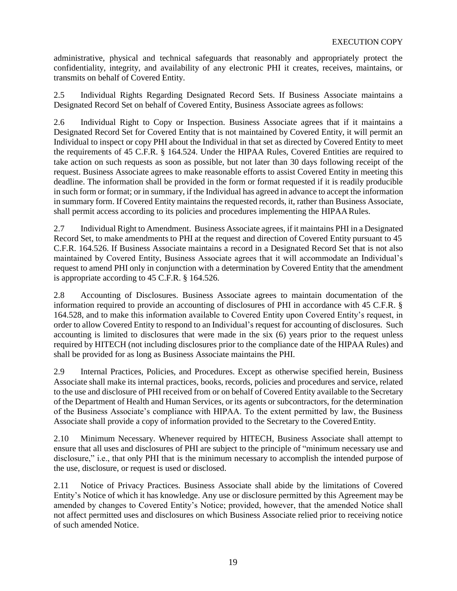administrative, physical and technical safeguards that reasonably and appropriately protect the confidentiality, integrity, and availability of any electronic PHI it creates, receives, maintains, or transmits on behalf of Covered Entity.

2.5 Individual Rights Regarding Designated Record Sets. If Business Associate maintains a Designated Record Set on behalf of Covered Entity, Business Associate agrees asfollows:

2.6 Individual Right to Copy or Inspection. Business Associate agrees that if it maintains a Designated Record Set for Covered Entity that is not maintained by Covered Entity, it will permit an Individual to inspect or copy PHI about the Individual in that set as directed by Covered Entity to meet the requirements of 45 C.F.R. § 164.524. Under the HIPAA Rules, Covered Entities are required to take action on such requests as soon as possible, but not later than 30 days following receipt of the request. Business Associate agrees to make reasonable efforts to assist Covered Entity in meeting this deadline. The information shall be provided in the form or format requested if it is readily producible in such form or format; or in summary, if the Individual has agreed in advance to accept the information in summary form. If Covered Entity maintains the requested records, it, rather than Business Associate, shall permit access according to its policies and procedures implementing the HIPAA Rules.

2.7 Individual Right to Amendment. Business Associate agrees, if it maintains PHI in a Designated Record Set, to make amendments to PHI at the request and direction of Covered Entity pursuant to 45 C.F.R. 164.526. If Business Associate maintains a record in a Designated Record Set that is not also maintained by Covered Entity, Business Associate agrees that it will accommodate an Individual's request to amend PHI only in conjunction with a determination by Covered Entity that the amendment is appropriate according to 45 C.F.R. § 164.526.

2.8 Accounting of Disclosures. Business Associate agrees to maintain documentation of the information required to provide an accounting of disclosures of PHI in accordance with 45 C.F.R. § 164.528, and to make this information available to Covered Entity upon Covered Entity's request, in order to allow Covered Entity to respond to an Individual's request for accounting of disclosures. Such accounting is limited to disclosures that were made in the six (6) years prior to the request unless required by HITECH (not including disclosures prior to the compliance date of the HIPAA Rules) and shall be provided for as long as Business Associate maintains the PHI.

2.9 Internal Practices, Policies, and Procedures. Except as otherwise specified herein, Business Associate shall make its internal practices, books, records, policies and procedures and service, related to the use and disclosure of PHI received from or on behalf of Covered Entity available to the Secretary of the Department of Health and Human Services, or its agents or subcontractors, for the determination of the Business Associate's compliance with HIPAA. To the extent permitted by law, the Business Associate shall provide a copy of information provided to the Secretary to the Covered Entity.

2.10 Minimum Necessary. Whenever required by HITECH, Business Associate shall attempt to ensure that all uses and disclosures of PHI are subject to the principle of "minimum necessary use and disclosure," i.e., that only PHI that is the minimum necessary to accomplish the intended purpose of the use, disclosure, or request is used or disclosed.

2.11 Notice of Privacy Practices. Business Associate shall abide by the limitations of Covered Entity's Notice of which it has knowledge. Any use or disclosure permitted by this Agreement may be amended by changes to Covered Entity's Notice; provided, however, that the amended Notice shall not affect permitted uses and disclosures on which Business Associate relied prior to receiving notice of such amended Notice.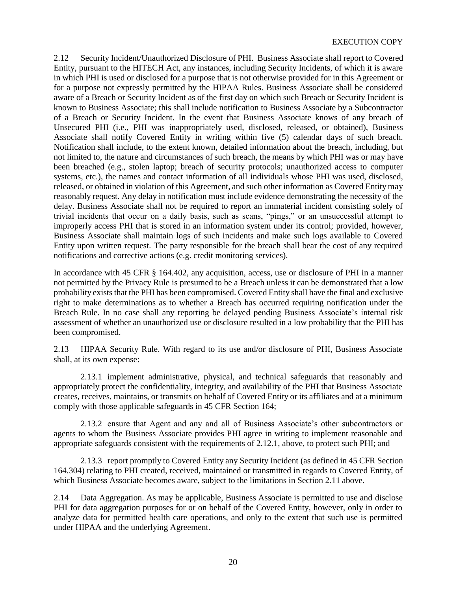### EXECUTION COPY

2.12 Security Incident/Unauthorized Disclosure of PHI. Business Associate shall report to Covered Entity, pursuant to the HITECH Act, any instances, including Security Incidents, of which it is aware in which PHI is used or disclosed for a purpose that is not otherwise provided for in this Agreement or for a purpose not expressly permitted by the HIPAA Rules. Business Associate shall be considered aware of a Breach or Security Incident as of the first day on which such Breach or Security Incident is known to Business Associate; this shall include notification to Business Associate by a Subcontractor of a Breach or Security Incident. In the event that Business Associate knows of any breach of Unsecured PHI (i.e., PHI was inappropriately used, disclosed, released, or obtained), Business Associate shall notify Covered Entity in writing within five (5) calendar days of such breach. Notification shall include, to the extent known, detailed information about the breach, including, but not limited to, the nature and circumstances of such breach, the means by which PHI was or may have been breached (e.g., stolen laptop; breach of security protocols; unauthorized access to computer systems, etc.), the names and contact information of all individuals whose PHI was used, disclosed, released, or obtained in violation of this Agreement, and such other information as Covered Entity may reasonably request. Any delay in notification must include evidence demonstrating the necessity of the delay. Business Associate shall not be required to report an immaterial incident consisting solely of trivial incidents that occur on a daily basis, such as scans, "pings," or an unsuccessful attempt to improperly access PHI that is stored in an information system under its control; provided, however, Business Associate shall maintain logs of such incidents and make such logs available to Covered Entity upon written request. The party responsible for the breach shall bear the cost of any required notifications and corrective actions (e.g. credit monitoring services).

In accordance with 45 CFR § 164.402, any acquisition, access, use or disclosure of PHI in a manner not permitted by the Privacy Rule is presumed to be a Breach unless it can be demonstrated that a low probability exists that the PHI has been compromised. Covered Entity shall have the final and exclusive right to make determinations as to whether a Breach has occurred requiring notification under the Breach Rule. In no case shall any reporting be delayed pending Business Associate's internal risk assessment of whether an unauthorized use or disclosure resulted in a low probability that the PHI has been compromised.

2.13 HIPAA Security Rule. With regard to its use and/or disclosure of PHI, Business Associate shall, at its own expense:

2.13.1 implement administrative, physical, and technical safeguards that reasonably and appropriately protect the confidentiality, integrity, and availability of the PHI that Business Associate creates, receives, maintains, or transmits on behalf of Covered Entity or its affiliates and at a minimum comply with those applicable safeguards in 45 CFR Section 164;

2.13.2 ensure that Agent and any and all of Business Associate's other subcontractors or agents to whom the Business Associate provides PHI agree in writing to implement reasonable and appropriate safeguards consistent with the requirements of 2.12.1, above, to protect such PHI; and

2.13.3 report promptly to Covered Entity any Security Incident (as defined in 45 CFR Section 164.304) relating to PHI created, received, maintained or transmitted in regards to Covered Entity, of which Business Associate becomes aware, subject to the limitations in Section 2.11 above.

2.14 Data Aggregation. As may be applicable, Business Associate is permitted to use and disclose PHI for data aggregation purposes for or on behalf of the Covered Entity, however, only in order to analyze data for permitted health care operations, and only to the extent that such use is permitted under HIPAA and the underlying Agreement.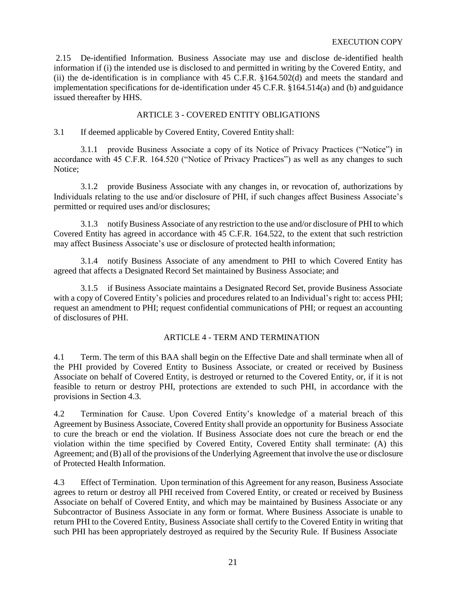2.15 De-identified Information. Business Associate may use and disclose de-identified health information if (i) the intended use is disclosed to and permitted in writing by the Covered Entity, and (ii) the de-identification is in compliance with 45 C.F.R. §164.502(d) and meets the standard and implementation specifications for de-identification under 45 C.F.R. §164.514(a) and (b) andguidance issued thereafter by HHS.

# ARTICLE 3 - COVERED ENTITY OBLIGATIONS

3.1 If deemed applicable by Covered Entity, Covered Entity shall:

3.1.1 provide Business Associate a copy of its Notice of Privacy Practices ("Notice") in accordance with 45 C.F.R. 164.520 ("Notice of Privacy Practices") as well as any changes to such Notice;

3.1.2 provide Business Associate with any changes in, or revocation of, authorizations by Individuals relating to the use and/or disclosure of PHI, if such changes affect Business Associate's permitted or required uses and/or disclosures;

3.1.3 notifyBusiness Associate of any restriction to the use and/or disclosure of PHI to which Covered Entity has agreed in accordance with 45 C.F.R. 164.522, to the extent that such restriction may affect Business Associate's use or disclosure of protected health information;

3.1.4 notify Business Associate of any amendment to PHI to which Covered Entity has agreed that affects a Designated Record Set maintained by Business Associate; and

3.1.5 if Business Associate maintains a Designated Record Set, provide Business Associate with a copy of Covered Entity's policies and procedures related to an Individual's right to: access PHI; request an amendment to PHI; request confidential communications of PHI; or request an accounting of disclosures of PHI.

# ARTICLE 4 - TERM AND TERMINATION

4.1 Term. The term of this BAA shall begin on the Effective Date and shall terminate when all of the PHI provided by Covered Entity to Business Associate, or created or received by Business Associate on behalf of Covered Entity, is destroyed or returned to the Covered Entity, or, if it is not feasible to return or destroy PHI, protections are extended to such PHI, in accordance with the provisions in Section 4.3.

4.2 Termination for Cause. Upon Covered Entity's knowledge of a material breach of this Agreement by Business Associate, Covered Entity shall provide an opportunity for Business Associate to cure the breach or end the violation. If Business Associate does not cure the breach or end the violation within the time specified by Covered Entity, Covered Entity shall terminate: (A) this Agreement; and (B) all of the provisions of the Underlying Agreement that involve the use or disclosure of Protected Health Information.

4.3 Effect of Termination. Upon termination of this Agreement for any reason, Business Associate agrees to return or destroy all PHI received from Covered Entity, or created or received by Business Associate on behalf of Covered Entity, and which may be maintained by Business Associate or any Subcontractor of Business Associate in any form or format. Where Business Associate is unable to return PHI to the Covered Entity, Business Associate shall certify to the Covered Entity in writing that such PHI has been appropriately destroyed as required by the Security Rule. If Business Associate